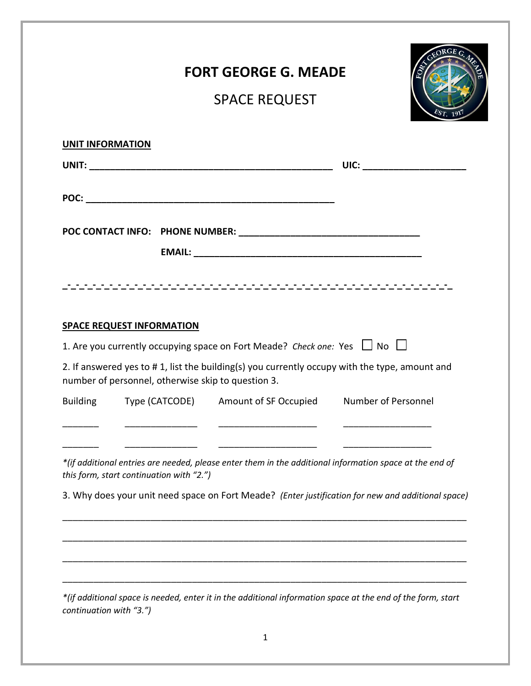|                         |                                                    | <b>FORT GEORGE G. MEADE</b>                                                                                                                                                          |                                                                                                         |
|-------------------------|----------------------------------------------------|--------------------------------------------------------------------------------------------------------------------------------------------------------------------------------------|---------------------------------------------------------------------------------------------------------|
|                         |                                                    | <b>SPACE REQUEST</b>                                                                                                                                                                 |                                                                                                         |
| <b>UNIT INFORMATION</b> |                                                    |                                                                                                                                                                                      |                                                                                                         |
|                         |                                                    |                                                                                                                                                                                      | UIC: ________________________                                                                           |
|                         |                                                    |                                                                                                                                                                                      |                                                                                                         |
|                         |                                                    |                                                                                                                                                                                      |                                                                                                         |
|                         |                                                    |                                                                                                                                                                                      |                                                                                                         |
|                         |                                                    |                                                                                                                                                                                      |                                                                                                         |
|                         | <b>SPACE REQUEST INFORMATION</b>                   |                                                                                                                                                                                      |                                                                                                         |
|                         | number of personnel, otherwise skip to question 3. | 1. Are you currently occupying space on Fort Meade? Check one: Yes $\Box$ No $\Box$<br>2. If answered yes to #1, list the building(s) you currently occupy with the type, amount and |                                                                                                         |
|                         |                                                    | Building Type (CATCODE) Amount of SF Occupied Number of Personnel                                                                                                                    |                                                                                                         |
|                         |                                                    |                                                                                                                                                                                      |                                                                                                         |
|                         | this form, start continuation with "2.")           |                                                                                                                                                                                      | *(if additional entries are needed, please enter them in the additional information space at the end of |
|                         |                                                    |                                                                                                                                                                                      | 3. Why does your unit need space on Fort Meade? (Enter justification for new and additional space)      |
|                         |                                                    |                                                                                                                                                                                      |                                                                                                         |
|                         |                                                    |                                                                                                                                                                                      |                                                                                                         |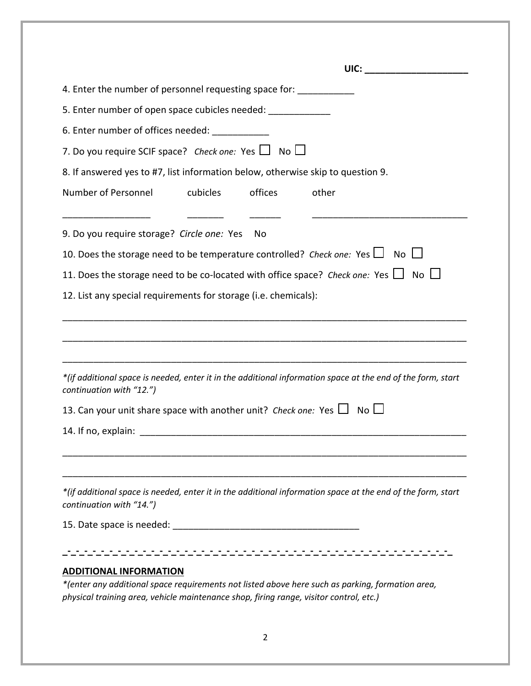|                                                                                                                                         | <b>UIC:</b> The contract of the contract of the contract of the contract of the contract of the contract of the contract of the contract of the contract of the contract of the contract of the contract of the contract of the con |  |  |  |  |                                                                                                                  |
|-----------------------------------------------------------------------------------------------------------------------------------------|-------------------------------------------------------------------------------------------------------------------------------------------------------------------------------------------------------------------------------------|--|--|--|--|------------------------------------------------------------------------------------------------------------------|
| 4. Enter the number of personnel requesting space for: ______________<br>5. Enter number of open space cubicles needed: _______________ |                                                                                                                                                                                                                                     |  |  |  |  |                                                                                                                  |
|                                                                                                                                         |                                                                                                                                                                                                                                     |  |  |  |  | 6. Enter number of offices needed: ____________<br>7. Do you require SCIF space? Check one: Yes $\Box$ No $\Box$ |
|                                                                                                                                         | 8. If answered yes to #7, list information below, otherwise skip to question 9.                                                                                                                                                     |  |  |  |  |                                                                                                                  |
| Number of Personnel                                                                                                                     | cubicles<br>offices<br>other                                                                                                                                                                                                        |  |  |  |  |                                                                                                                  |
| 9. Do you require storage? Circle one: Yes                                                                                              | - No                                                                                                                                                                                                                                |  |  |  |  |                                                                                                                  |
|                                                                                                                                         | 10. Does the storage need to be temperature controlled? Check one: Yes $\Box$ No $\Box$                                                                                                                                             |  |  |  |  |                                                                                                                  |
|                                                                                                                                         | 11. Does the storage need to be co-located with office space? Check one: Yes $\Box$ No $\Box$                                                                                                                                       |  |  |  |  |                                                                                                                  |
|                                                                                                                                         | 12. List any special requirements for storage (i.e. chemicals):                                                                                                                                                                     |  |  |  |  |                                                                                                                  |
|                                                                                                                                         |                                                                                                                                                                                                                                     |  |  |  |  |                                                                                                                  |
| continuation with "12.")                                                                                                                | *(if additional space is needed, enter it in the additional information space at the end of the form, start                                                                                                                         |  |  |  |  |                                                                                                                  |
|                                                                                                                                         | 13. Can your unit share space with another unit? Check one: Yes $\Box$ No $\Box$                                                                                                                                                    |  |  |  |  |                                                                                                                  |
|                                                                                                                                         |                                                                                                                                                                                                                                     |  |  |  |  |                                                                                                                  |
| continuation with "14.")                                                                                                                | *(if additional space is needed, enter it in the additional information space at the end of the form, start                                                                                                                         |  |  |  |  |                                                                                                                  |
|                                                                                                                                         |                                                                                                                                                                                                                                     |  |  |  |  |                                                                                                                  |
|                                                                                                                                         |                                                                                                                                                                                                                                     |  |  |  |  |                                                                                                                  |
| <b>ADDITIONAL INFORMATION</b>                                                                                                           |                                                                                                                                                                                                                                     |  |  |  |  |                                                                                                                  |